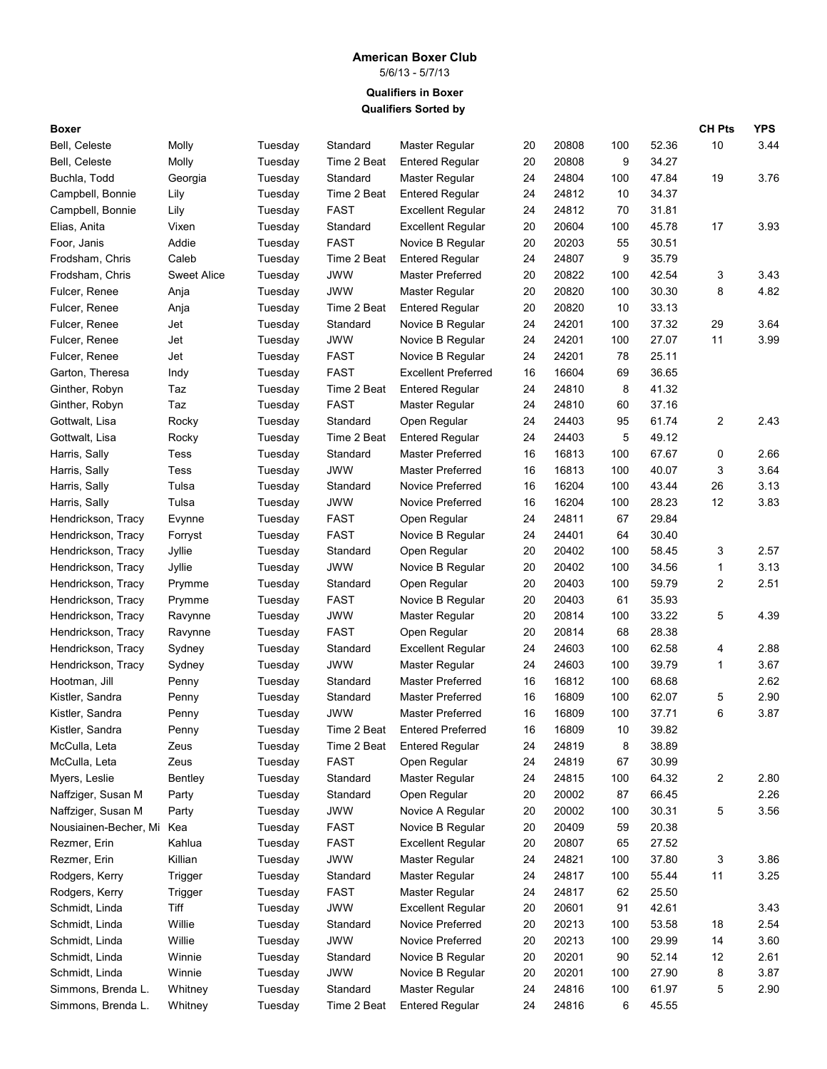## **American Boxer Club**

5/6/13 - 5/7/13

**Qualifiers Sorted by Qualifiers in Boxer**

| Boxer                 |                    |         |             |                            |    |       |     |       | <b>CH Pts</b>  | <b>YPS</b> |
|-----------------------|--------------------|---------|-------------|----------------------------|----|-------|-----|-------|----------------|------------|
| Bell, Celeste         | Molly              | Tuesday | Standard    | Master Regular             | 20 | 20808 | 100 | 52.36 | 10             | 3.44       |
| Bell, Celeste         | Molly              | Tuesday | Time 2 Beat | <b>Entered Regular</b>     | 20 | 20808 | 9   | 34.27 |                |            |
| Buchla, Todd          | Georgia            | Tuesday | Standard    | Master Regular             | 24 | 24804 | 100 | 47.84 | 19             | 3.76       |
| Campbell, Bonnie      | Lily               | Tuesday | Time 2 Beat | <b>Entered Regular</b>     | 24 | 24812 | 10  | 34.37 |                |            |
| Campbell, Bonnie      | Lily               | Tuesday | <b>FAST</b> | <b>Excellent Regular</b>   | 24 | 24812 | 70  | 31.81 |                |            |
| Elias, Anita          | Vixen              | Tuesday | Standard    | <b>Excellent Regular</b>   | 20 | 20604 | 100 | 45.78 | 17             | 3.93       |
| Foor, Janis           | Addie              | Tuesday | <b>FAST</b> | Novice B Regular           | 20 | 20203 | 55  | 30.51 |                |            |
| Frodsham, Chris       | Caleb              | Tuesday | Time 2 Beat | <b>Entered Regular</b>     | 24 | 24807 | 9   | 35.79 |                |            |
| Frodsham, Chris       | <b>Sweet Alice</b> | Tuesday | JWW         | <b>Master Preferred</b>    | 20 | 20822 | 100 | 42.54 | 3              | 3.43       |
| Fulcer, Renee         | Anja               | Tuesday | <b>JWW</b>  | Master Regular             | 20 | 20820 | 100 | 30.30 | 8              | 4.82       |
| Fulcer, Renee         | Anja               | Tuesday | Time 2 Beat | <b>Entered Regular</b>     | 20 | 20820 | 10  | 33.13 |                |            |
| Fulcer, Renee         | Jet                | Tuesday | Standard    | Novice B Regular           | 24 | 24201 | 100 | 37.32 | 29             | 3.64       |
| Fulcer, Renee         | Jet                | Tuesday | <b>JWW</b>  | Novice B Regular           | 24 | 24201 | 100 | 27.07 | 11             | 3.99       |
| Fulcer, Renee         | Jet                | Tuesday | <b>FAST</b> | Novice B Regular           | 24 | 24201 | 78  | 25.11 |                |            |
| Garton, Theresa       | Indy               | Tuesday | <b>FAST</b> | <b>Excellent Preferred</b> | 16 | 16604 | 69  | 36.65 |                |            |
| Ginther, Robyn        | Taz                | Tuesday | Time 2 Beat | <b>Entered Regular</b>     | 24 | 24810 | 8   | 41.32 |                |            |
| Ginther, Robyn        | Taz                | Tuesday | <b>FAST</b> | Master Regular             | 24 | 24810 | 60  | 37.16 |                |            |
| Gottwalt, Lisa        | Rocky              | Tuesday | Standard    | Open Regular               | 24 | 24403 | 95  | 61.74 | $\overline{c}$ | 2.43       |
| Gottwalt, Lisa        | Rocky              | Tuesday | Time 2 Beat | <b>Entered Regular</b>     | 24 | 24403 | 5   | 49.12 |                |            |
| Harris, Sally         | Tess               | Tuesday | Standard    | <b>Master Preferred</b>    | 16 | 16813 | 100 | 67.67 | 0              | 2.66       |
| Harris, Sally         | Tess               | Tuesday | <b>JWW</b>  | <b>Master Preferred</b>    | 16 | 16813 | 100 | 40.07 | 3              | 3.64       |
| Harris, Sally         | Tulsa              | Tuesday | Standard    | <b>Novice Preferred</b>    | 16 | 16204 | 100 | 43.44 | 26             | 3.13       |
| Harris, Sally         | Tulsa              | Tuesday | JWW         | <b>Novice Preferred</b>    | 16 | 16204 | 100 | 28.23 | 12             | 3.83       |
| Hendrickson, Tracy    | Evynne             | Tuesday | <b>FAST</b> | Open Regular               | 24 | 24811 | 67  | 29.84 |                |            |
| Hendrickson, Tracy    | Forryst            | Tuesday | <b>FAST</b> | Novice B Regular           | 24 | 24401 | 64  | 30.40 |                |            |
| Hendrickson, Tracy    | Jyllie             | Tuesday | Standard    | Open Regular               | 20 | 20402 | 100 | 58.45 | 3              | 2.57       |
| Hendrickson, Tracy    | Jyllie             | Tuesday | <b>JWW</b>  | Novice B Regular           | 20 | 20402 | 100 | 34.56 | 1              | 3.13       |
| Hendrickson, Tracy    | Prymme             | Tuesday | Standard    | Open Regular               | 20 | 20403 | 100 | 59.79 | 2              | 2.51       |
| Hendrickson, Tracy    | Prymme             | Tuesday | <b>FAST</b> | Novice B Regular           | 20 | 20403 | 61  | 35.93 |                |            |
| Hendrickson, Tracy    | Ravynne            | Tuesday | <b>JWW</b>  | Master Regular             | 20 | 20814 | 100 | 33.22 | 5              | 4.39       |
| Hendrickson, Tracy    | Ravynne            | Tuesday | <b>FAST</b> | Open Regular               | 20 | 20814 | 68  | 28.38 |                |            |
| Hendrickson, Tracy    | Sydney             | Tuesday | Standard    | <b>Excellent Regular</b>   | 24 | 24603 | 100 | 62.58 | 4              | 2.88       |
| Hendrickson, Tracy    | Sydney             | Tuesday | <b>JWW</b>  | Master Regular             | 24 | 24603 | 100 | 39.79 | 1              | 3.67       |
| Hootman, Jill         | Penny              | Tuesday | Standard    | Master Preferred           | 16 | 16812 | 100 | 68.68 |                | 2.62       |
| Kistler, Sandra       | Penny              | Tuesday | Standard    | <b>Master Preferred</b>    | 16 | 16809 | 100 | 62.07 | 5              | 2.90       |
| Kistler, Sandra       | Penny              | Tuesday | <b>JWW</b>  | Master Preferred           | 16 | 16809 | 100 | 37.71 | 6              | 3.87       |
| Kistler, Sandra       | Penny              | Tuesday | Time 2 Beat | <b>Entered Preferred</b>   | 16 | 16809 | 10  | 39.82 |                |            |
| McCulla, Leta         | Zeus               | Tuesday | Time 2 Beat | <b>Entered Regular</b>     | 24 | 24819 | 8   | 38.89 |                |            |
| McCulla, Leta         | Zeus               | Tuesday | <b>FAST</b> | Open Regular               | 24 | 24819 | 67  | 30.99 |                |            |
| Myers, Leslie         | Bentley            | Tuesday | Standard    | Master Regular             | 24 | 24815 | 100 | 64.32 | 2              | 2.80       |
| Naffziger, Susan M    | Party              | Tuesday | Standard    | Open Regular               | 20 | 20002 | 87  | 66.45 |                | 2.26       |
| Naffziger, Susan M    | Party              | Tuesday | JWW         | Novice A Regular           | 20 | 20002 | 100 | 30.31 | 5              | 3.56       |
| Nousiainen-Becher, Mi | Kea                | Tuesday | <b>FAST</b> | Novice B Regular           | 20 | 20409 | 59  | 20.38 |                |            |
| Rezmer, Erin          | Kahlua             | Tuesday | <b>FAST</b> | <b>Excellent Regular</b>   | 20 | 20807 | 65  | 27.52 |                |            |
| Rezmer, Erin          | Killian            | Tuesday | <b>JWW</b>  | Master Regular             | 24 | 24821 | 100 | 37.80 | 3              | 3.86       |
| Rodgers, Kerry        | Trigger            | Tuesday | Standard    | Master Regular             | 24 | 24817 | 100 | 55.44 | 11             | 3.25       |
| Rodgers, Kerry        | Trigger            | Tuesday | <b>FAST</b> | Master Regular             | 24 | 24817 | 62  | 25.50 |                |            |
| Schmidt, Linda        | Tiff               | Tuesday | <b>JWW</b>  | <b>Excellent Regular</b>   | 20 | 20601 | 91  | 42.61 |                | 3.43       |
| Schmidt, Linda        | Willie             | Tuesday | Standard    | Novice Preferred           | 20 | 20213 | 100 | 53.58 | 18             | 2.54       |
| Schmidt, Linda        | Willie             | Tuesday | <b>JWW</b>  | Novice Preferred           | 20 | 20213 | 100 | 29.99 | 14             | 3.60       |
| Schmidt, Linda        | Winnie             | Tuesday | Standard    | Novice B Regular           | 20 | 20201 | 90  | 52.14 | 12             | 2.61       |
| Schmidt, Linda        | Winnie             | Tuesday | <b>JWW</b>  | Novice B Regular           | 20 | 20201 | 100 | 27.90 | 8              | 3.87       |
| Simmons, Brenda L.    | Whitney            | Tuesday | Standard    | Master Regular             | 24 | 24816 | 100 | 61.97 | 5              | 2.90       |
| Simmons, Brenda L.    | Whitney            | Tuesday | Time 2 Beat | <b>Entered Regular</b>     | 24 | 24816 | 6   | 45.55 |                |            |
|                       |                    |         |             |                            |    |       |     |       |                |            |